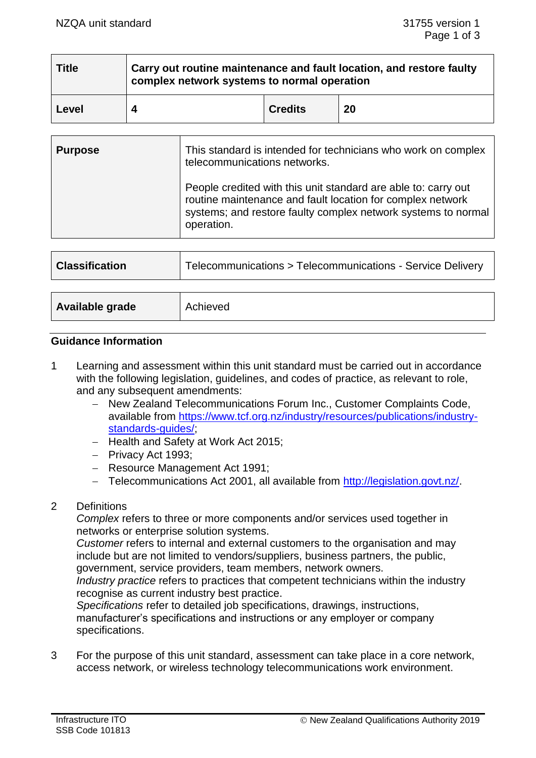| <b>Title</b> | Carry out routine maintenance and fault location, and restore faulty<br>complex network systems to normal operation |                |    |
|--------------|---------------------------------------------------------------------------------------------------------------------|----------------|----|
| Level        |                                                                                                                     | <b>Credits</b> | 20 |

| <b>Purpose</b> | This standard is intended for technicians who work on complex<br>telecommunications networks.                                                                                                               |
|----------------|-------------------------------------------------------------------------------------------------------------------------------------------------------------------------------------------------------------|
|                | People credited with this unit standard are able to: carry out<br>routine maintenance and fault location for complex network<br>systems; and restore faulty complex network systems to normal<br>operation. |
|                |                                                                                                                                                                                                             |
|                |                                                                                                                                                                                                             |

| <b>Classification</b> | Telecommunications > Telecommunications - Service Delivery |
|-----------------------|------------------------------------------------------------|
|                       |                                                            |
| Available grade       | Achieved                                                   |

#### **Guidance Information**

- 1 Learning and assessment within this unit standard must be carried out in accordance with the following legislation, guidelines, and codes of practice, as relevant to role, and any subsequent amendments:
	- − New Zealand Telecommunications Forum Inc., Customer Complaints Code, available from [https://www.tcf.org.nz/industry/resources/publications/industry](https://www.tcf.org.nz/industry/resources/publications/industry-standards-guides/)[standards-guides/;](https://www.tcf.org.nz/industry/resources/publications/industry-standards-guides/)
	- − Health and Safety at Work Act 2015;
	- − Privacy Act 1993;
	- − Resource Management Act 1991;
	- − Telecommunications Act 2001, all available from [http://legislation.govt.nz/.](http://legislation.govt.nz/)

## 2 Definitions

*Complex* refers to three or more components and/or services used together in networks or enterprise solution systems.

*Customer* refers to internal and external customers to the organisation and may include but are not limited to vendors/suppliers, business partners, the public, government, service providers, team members, network owners.

*Industry practice* refers to practices that competent technicians within the industry recognise as current industry best practice.

*Specifications* refer to detailed job specifications, drawings, instructions, manufacturer's specifications and instructions or any employer or company specifications.

3 For the purpose of this unit standard, assessment can take place in a core network, access network, or wireless technology telecommunications work environment.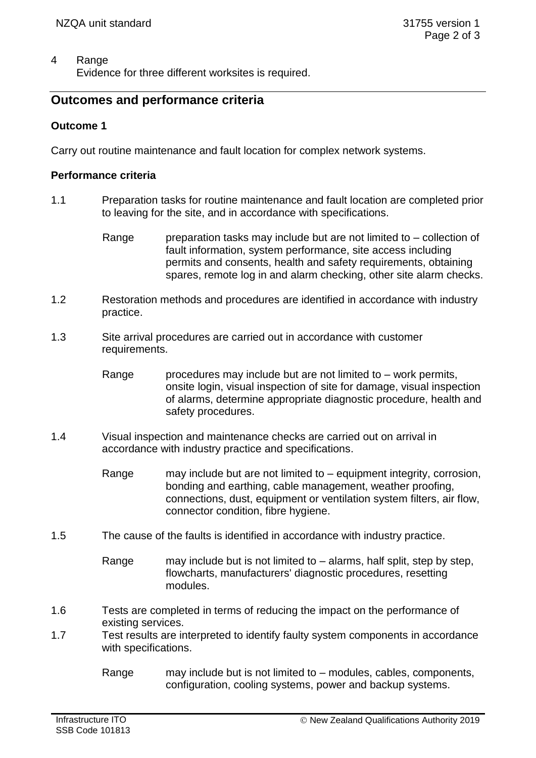## 4 Range

Evidence for three different worksites is required.

# **Outcomes and performance criteria**

## **Outcome 1**

Carry out routine maintenance and fault location for complex network systems.

### **Performance criteria**

- 1.1 Preparation tasks for routine maintenance and fault location are completed prior to leaving for the site, and in accordance with specifications.
	- Range preparation tasks may include but are not limited to collection of fault information, system performance, site access including permits and consents, health and safety requirements, obtaining spares, remote log in and alarm checking, other site alarm checks.
- 1.2 Restoration methods and procedures are identified in accordance with industry practice.
- 1.3 Site arrival procedures are carried out in accordance with customer requirements.
	- Range procedures may include but are not limited to  $-$  work permits, onsite login, visual inspection of site for damage, visual inspection of alarms, determine appropriate diagnostic procedure, health and safety procedures.
- 1.4 Visual inspection and maintenance checks are carried out on arrival in accordance with industry practice and specifications.
	- Range may include but are not limited to equipment integrity, corrosion, bonding and earthing, cable management, weather proofing, connections, dust, equipment or ventilation system filters, air flow, connector condition, fibre hygiene.
- 1.5 The cause of the faults is identified in accordance with industry practice.
	- Range may include but is not limited to  $-$  alarms, half split, step by step, flowcharts, manufacturers' diagnostic procedures, resetting modules.
- 1.6 Tests are completed in terms of reducing the impact on the performance of existing services.
- 1.7 Test results are interpreted to identify faulty system components in accordance with specifications.
	- Range may include but is not limited to modules, cables, components, configuration, cooling systems, power and backup systems.